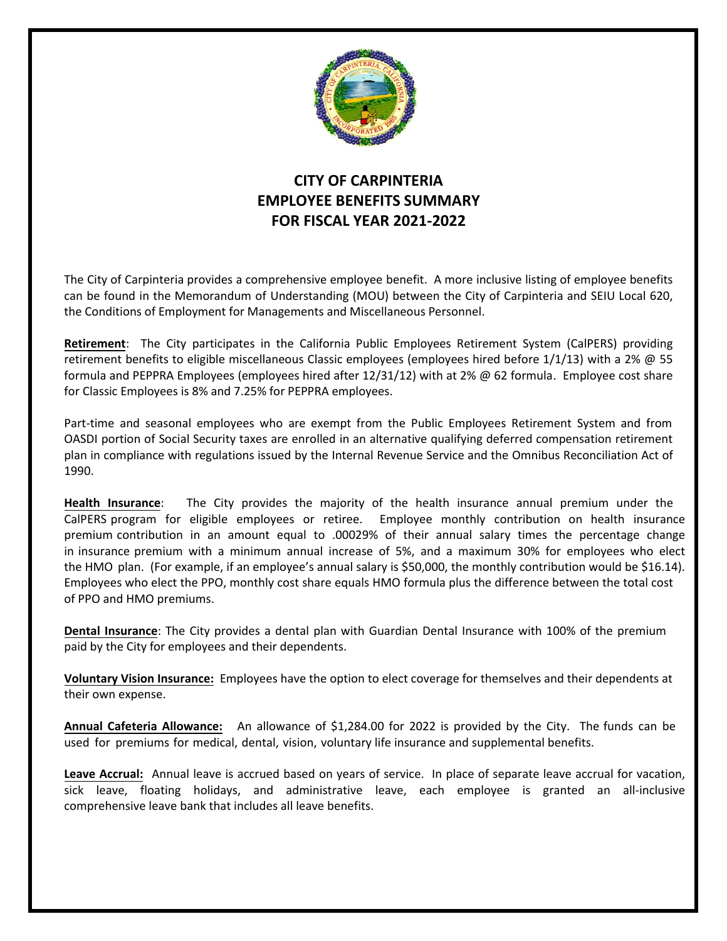

## **CITY OF CARPINTERIA EMPLOYEE BENEFITS SUMMARY FOR FISCAL YEAR 2021-2022**

The City of Carpinteria provides a comprehensive employee benefit. A more inclusive listing of employee benefits can be found in the Memorandum of Understanding (MOU) between the City of Carpinteria and SEIU Local 620, the Conditions of Employment for Managements and Miscellaneous Personnel.

**Retirement**: The City participates in the California Public Employees Retirement System (CalPERS) providing retirement benefits to eligible miscellaneous Classic employees (employees hired before 1/1/13) with a 2% @ 55 formula and PEPPRA Employees (employees hired after 12/31/12) with at 2% @ 62 formula. Employee cost share for Classic Employees is 8% and 7.25% for PEPPRA employees.

Part-time and seasonal employees who are exempt from the Public Employees Retirement System and from OASDI portion of Social Security taxes are enrolled in an alternative qualifying deferred compensation retirement plan in compliance with regulations issued by the Internal Revenue Service and the Omnibus Reconciliation Act of 1990.

**Health Insurance**: The City provides the majority of the health insurance annual premium under the CalPERS program for eligible employees or retiree. Employee monthly contribution on health insurance premium contribution in an amount equal to .00029% of their annual salary times the percentage change in insurance premium with a minimum annual increase of 5%, and a maximum 30% for employees who elect the HMO plan. (For example, if an employee's annual salary is \$50,000, the monthly contribution would be \$16.14). Employees who elect the PPO, monthly cost share equals HMO formula plus the difference between the total cost of PPO and HMO premiums.

**Dental Insurance**: The City provides a dental plan with Guardian Dental Insurance with 100% of the premium paid by the City for employees and their dependents.

**Voluntary Vision Insurance:** Employees have the option to elect coverage for themselves and their dependents at their own expense.

**Annual Cafeteria Allowance:** An allowance of \$1,284.00 for 2022 is provided by the City. The funds can be used for premiums for medical, dental, vision, voluntary life insurance and supplemental benefits.

**Leave Accrual:** Annual leave is accrued based on years of service. In place of separate leave accrual for vacation, sick leave, floating holidays, and administrative leave, each employee is granted an all-inclusive comprehensive leave bank that includes all leave benefits.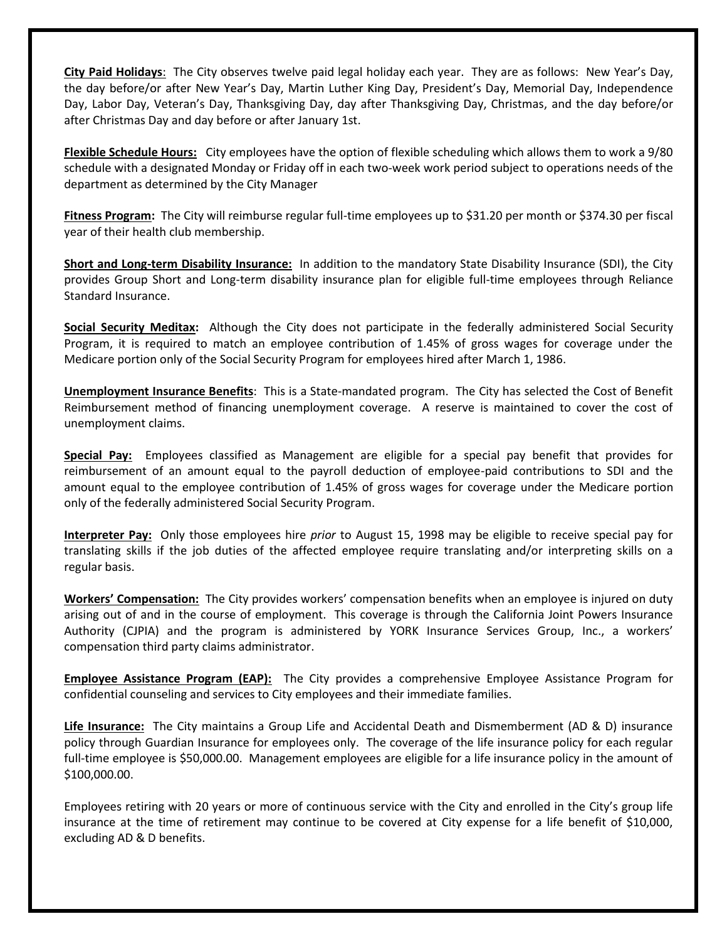**City Paid Holidays**: The City observes twelve paid legal holiday each year. They are as follows: New Year's Day, the day before/or after New Year's Day, Martin Luther King Day, President's Day, Memorial Day, Independence Day, Labor Day, Veteran's Day, Thanksgiving Day, day after Thanksgiving Day, Christmas, and the day before/or after Christmas Day and day before or after January 1st.

**Flexible Schedule Hours:** City employees have the option of flexible scheduling which allows them to work a 9/80 schedule with a designated Monday or Friday off in each two-week work period subject to operations needs of the department as determined by the City Manager

**Fitness Program:** The City will reimburse regular full-time employees up to \$31.20 per month or \$374.30 per fiscal year of their health club membership.

**Short and Long-term Disability Insurance:** In addition to the mandatory State Disability Insurance (SDI), the City provides Group Short and Long-term disability insurance plan for eligible full-time employees through Reliance Standard Insurance.

**Social Security Meditax:** Although the City does not participate in the federally administered Social Security Program, it is required to match an employee contribution of 1.45% of gross wages for coverage under the Medicare portion only of the Social Security Program for employees hired after March 1, 1986.

**Unemployment Insurance Benefits**: This is a State-mandated program. The City has selected the Cost of Benefit Reimbursement method of financing unemployment coverage. A reserve is maintained to cover the cost of unemployment claims.

**Special Pay:** Employees classified as Management are eligible for a special pay benefit that provides for reimbursement of an amount equal to the payroll deduction of employee-paid contributions to SDI and the amount equal to the employee contribution of 1.45% of gross wages for coverage under the Medicare portion only of the federally administered Social Security Program.

**Interpreter Pay:** Only those employees hire *prior* to August 15, 1998 may be eligible to receive special pay for translating skills if the job duties of the affected employee require translating and/or interpreting skills on a regular basis.

**Workers' Compensation:** The City provides workers' compensation benefits when an employee is injured on duty arising out of and in the course of employment. This coverage is through the California Joint Powers Insurance Authority (CJPIA) and the program is administered by YORK Insurance Services Group, Inc., a workers' compensation third party claims administrator.

**Employee Assistance Program (EAP):** The City provides a comprehensive Employee Assistance Program for confidential counseling and services to City employees and their immediate families.

**Life Insurance:** The City maintains a Group Life and Accidental Death and Dismemberment (AD & D) insurance policy through Guardian Insurance for employees only. The coverage of the life insurance policy for each regular full-time employee is \$50,000.00. Management employees are eligible for a life insurance policy in the amount of \$100,000.00.

Employees retiring with 20 years or more of continuous service with the City and enrolled in the City's group life insurance at the time of retirement may continue to be covered at City expense for a life benefit of \$10,000, excluding AD & D benefits.